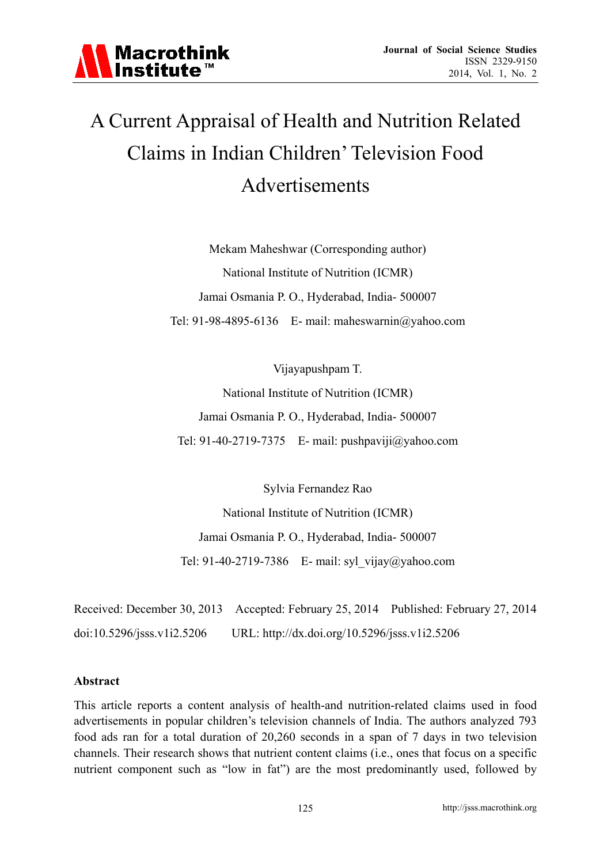# A Current Appraisal of Health and Nutrition Related Claims in Indian Children' Television Food Advertisements

Mekam Maheshwar (Corresponding author) National Institute of Nutrition (ICMR) Jamai Osmania P. O., Hyderabad, India- 500007 Tel: 91-98-4895-6136 E- mail: maheswarnin@yahoo.com

Vijayapushpam T. National Institute of Nutrition (ICMR) Jamai Osmania P. O., Hyderabad, India- 500007 Tel: 91-40-2719-7375 E- mail: pushpaviji@yahoo.com

Sylvia Fernandez Rao National Institute of Nutrition (ICMR) Jamai Osmania P. O., Hyderabad, India- 500007 Tel: 91-40-2719-7386 E- mail: syl\_vijay@yahoo.com

Received: December 30, 2013 Accepted: February 25, 2014 Published: February 27, 2014 doi:10.5296/jsss.v1i2.5206 URL: http://dx.doi.org/10.5296/jsss.v1i2.5206

#### **Abstract**

This article reports a content analysis of health-and nutrition-related claims used in food advertisements in popular children's television channels of India. The authors analyzed 793 food ads ran for a total duration of 20,260 seconds in a span of 7 days in two television channels. Their research shows that nutrient content claims (i.e., ones that focus on a specific nutrient component such as "low in fat") are the most predominantly used, followed by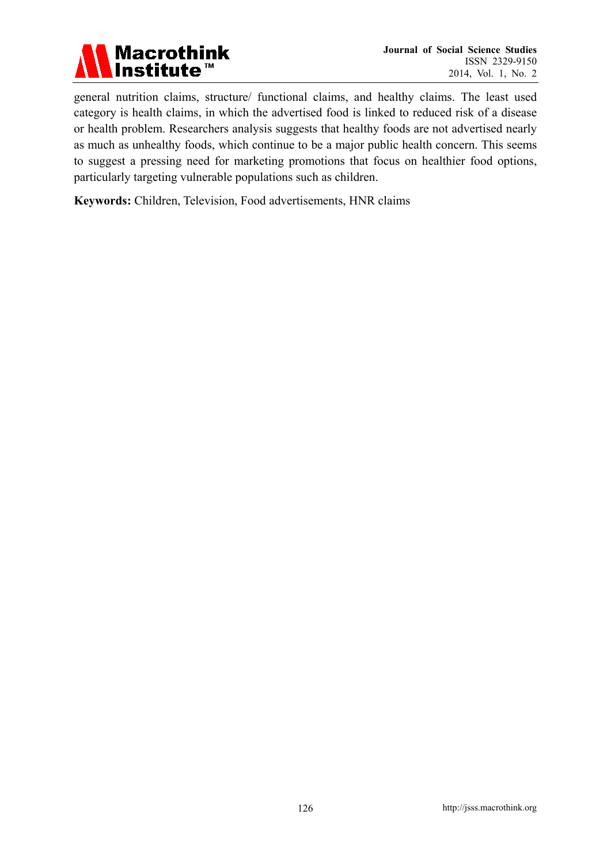

general nutrition claims, structure/ functional claims, and healthy claims. The least used category is health claims, in which the advertised food is linked to reduced risk of a disease or health problem. Researchers analysis suggests that healthy foods are not advertised nearly as much as unhealthy foods, which continue to be a major public health concern. This seems to suggest a pressing need for marketing promotions that focus on healthier food options, particularly targeting vulnerable populations such as children.

**Keywords:** Children, Television, Food advertisements, HNR claims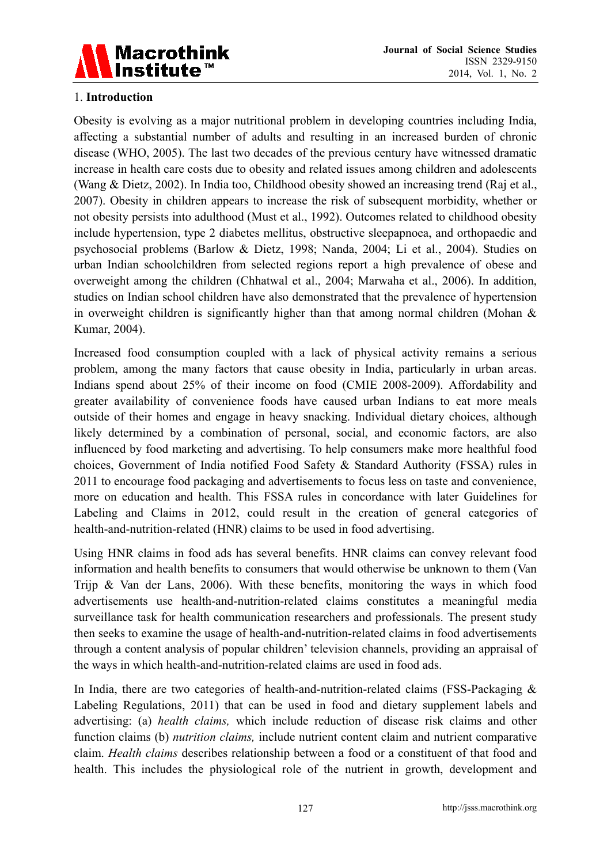

## 1. **Introduction**

Obesity is evolving as a major nutritional problem in developing countries including India, affecting a substantial number of adults and resulting in an increased burden of chronic disease (WHO, 2005). The last two decades of the previous century have witnessed dramatic increase in health care costs due to obesity and related issues among children and adolescents (Wang & Dietz, 2002). In India too, Childhood obesity showed an increasing trend (Raj et al., 2007). Obesity in children appears to increase the risk of subsequent morbidity, whether or not obesity persists into adulthood (Must et al., 1992). Outcomes related to childhood obesity include hypertension, type 2 diabetes mellitus, obstructive sleepapnoea, and orthopaedic and psychosocial problems (Barlow & Dietz, 1998; Nanda, 2004; Li et al., 2004). Studies on urban Indian schoolchildren from selected regions report a high prevalence of obese and overweight among the children (Chhatwal et al., 2004; Marwaha et al., 2006). In addition, studies on Indian school children have also demonstrated that the prevalence of hypertension in overweight children is significantly higher than that among normal children (Mohan  $\&$ Kumar, 2004).

Increased food consumption coupled with a lack of physical activity remains a serious problem, among the many factors that cause obesity in India, particularly in urban areas. Indians spend about 25% of their income on food (CMIE 2008-2009). Affordability and greater availability of convenience foods have caused urban Indians to eat more meals outside of their homes and engage in heavy snacking. Individual dietary choices, although likely determined by a combination of personal, social, and economic factors, are also influenced by food marketing and advertising. To help consumers make more healthful food choices, Government of India notified Food Safety & Standard Authority (FSSA) rules in 2011 to encourage food packaging and advertisements to focus less on taste and convenience, more on education and health. This FSSA rules in concordance with later Guidelines for Labeling and Claims in 2012, could result in the creation of general categories of health-and-nutrition-related (HNR) claims to be used in food advertising.

Using HNR claims in food ads has several benefits. HNR claims can convey relevant food information and health benefits to consumers that would otherwise be unknown to them (Van Trijp & Van der Lans, 2006). With these benefits, monitoring the ways in which food advertisements use health-and-nutrition-related claims constitutes a meaningful media surveillance task for health communication researchers and professionals. The present study then seeks to examine the usage of health-and-nutrition-related claims in food advertisements through a content analysis of popular children' television channels, providing an appraisal of the ways in which health-and-nutrition-related claims are used in food ads.

In India, there are two categories of health-and-nutrition-related claims (FSS-Packaging & Labeling Regulations, 2011) that can be used in food and dietary supplement labels and advertising: (a) *health claims,* which include reduction of disease risk claims and other function claims (b) *nutrition claims,* include nutrient content claim and nutrient comparative claim. *Health claims* describes relationship between a food or a constituent of that food and health. This includes the physiological role of the nutrient in growth, development and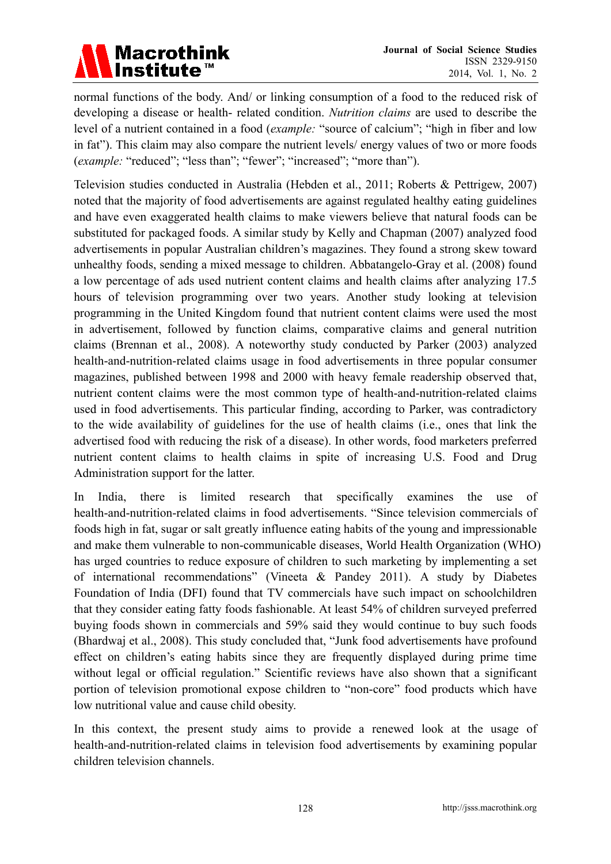# **Macrothink** <u>Institute</u>™

normal functions of the body. And/ or linking consumption of a food to the reduced risk of developing a disease or health- related condition. *Nutrition claims* are used to describe the level of a nutrient contained in a food (*example:* "source of calcium"; "high in fiber and low in fat"). This claim may also compare the nutrient levels/ energy values of two or more foods (*example:* "reduced"; "less than"; "fewer"; "increased"; "more than").

Television studies conducted in Australia (Hebden et al., 2011; Roberts & Pettrigew, 2007) noted that the majority of food advertisements are against regulated healthy eating guidelines and have even exaggerated health claims to make viewers believe that natural foods can be substituted for packaged foods. A similar study by Kelly and Chapman (2007) analyzed food advertisements in popular Australian children's magazines. They found a strong skew toward unhealthy foods, sending a mixed message to children. Abbatangelo-Gray et al. (2008) found a low percentage of ads used nutrient content claims and health claims after analyzing 17.5 hours of television programming over two years. Another study looking at television programming in the United Kingdom found that nutrient content claims were used the most in advertisement, followed by function claims, comparative claims and general nutrition claims (Brennan et al., 2008). A noteworthy study conducted by Parker (2003) analyzed health-and-nutrition-related claims usage in food advertisements in three popular consumer magazines, published between 1998 and 2000 with heavy female readership observed that, nutrient content claims were the most common type of health-and-nutrition-related claims used in food advertisements. This particular finding, according to Parker, was contradictory to the wide availability of guidelines for the use of health claims (i.e., ones that link the advertised food with reducing the risk of a disease). In other words, food marketers preferred nutrient content claims to health claims in spite of increasing U.S. Food and Drug Administration support for the latter.

In India, there is limited research that specifically examines the use of health-and-nutrition-related claims in food advertisements. "Since television commercials of foods high in fat, sugar or salt greatly influence eating habits of the young and impressionable and make them vulnerable to non-communicable diseases, World Health Organization (WHO) has urged countries to reduce exposure of children to such marketing by implementing a set of international recommendations" (Vineeta & Pandey 2011). A study by Diabetes Foundation of India (DFI) found that TV commercials have such impact on schoolchildren that they consider eating fatty foods fashionable. At least 54% of children surveyed preferred buying foods shown in commercials and 59% said they would continue to buy such foods (Bhardwaj et al., 2008). This study concluded that, "Junk food advertisements have profound effect on children's eating habits since they are frequently displayed during prime time without legal or official regulation." Scientific reviews have also shown that a significant portion of television promotional expose children to "non-core" food products which have low nutritional value and cause child obesity.

In this context, the present study aims to provide a renewed look at the usage of health-and-nutrition-related claims in television food advertisements by examining popular children television channels.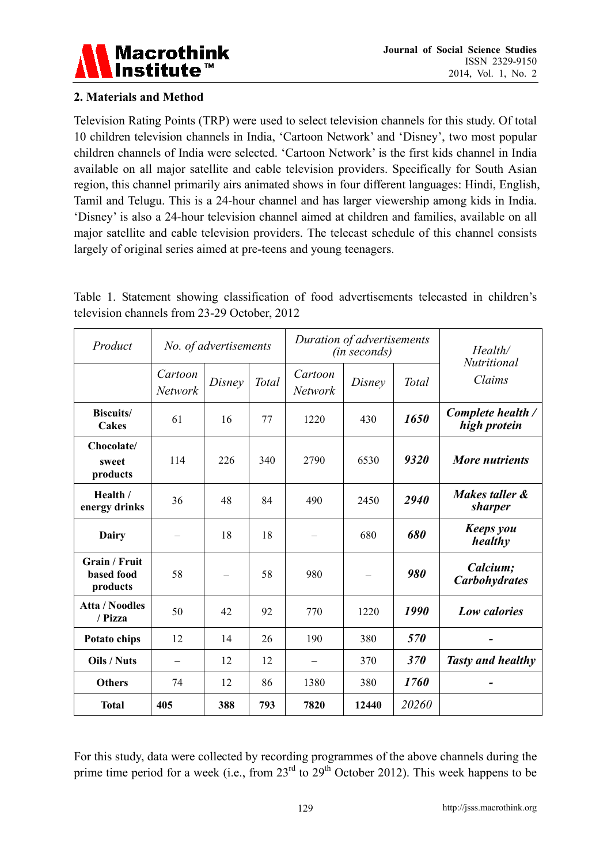

# **2. Materials and Method**

Television Rating Points (TRP) were used to select television channels for this study. Of total 10 children television channels in India, 'Cartoon Network' and 'Disney', two most popular children channels of India were selected. 'Cartoon Network' is the first kids channel in India available on all major satellite and cable television providers. Specifically for South Asian region, this channel primarily airs animated shows in four different languages: Hindi, English, Tamil and Telugu. This is a 24-hour channel and has larger viewership among kids in India. 'Disney' is also a 24-hour television channel aimed at children and families, available on all major satellite and cable television providers. The telecast schedule of this channel consists largely of original series aimed at pre-teens and young teenagers.

|  |  |                                              |  | Table 1. Statement showing classification of food advertisements telecasted in children's |  |  |
|--|--|----------------------------------------------|--|-------------------------------------------------------------------------------------------|--|--|
|  |  | television channels from 23-29 October, 2012 |  |                                                                                           |  |  |

| Product                                        |                           | No. of advertisements |              |                           | Duration of advertisements<br>(in seconds) | Health/<br>Nutritional |                                   |  |
|------------------------------------------------|---------------------------|-----------------------|--------------|---------------------------|--------------------------------------------|------------------------|-----------------------------------|--|
|                                                | Cartoon<br><b>Network</b> | Disney                | <b>Total</b> | Cartoon<br><b>Network</b> | Disney                                     | <b>Total</b>           | Claims                            |  |
| <b>Biscuits/</b><br>Cakes                      | 61                        | 16                    | 77           | 1220                      | 430                                        | 1650                   | Complete health /<br>high protein |  |
| Chocolate/<br>sweet<br>products                | 114                       | 226                   | 340          | 2790                      | 6530                                       | 9320                   | More nutrients                    |  |
| Health /<br>energy drinks                      | 36                        | 48                    | 84           | 490                       | 2450                                       | 2940                   | Makes taller &<br><i>sharper</i>  |  |
| Dairy                                          |                           | 18                    | 18           |                           | 680                                        | 680                    | <b>Keeps</b> you<br>healthy       |  |
| Grain / Fruit<br><b>based</b> food<br>products | 58                        |                       | 58           | 980                       |                                            | 980                    | Calcium;<br><b>Carbohydrates</b>  |  |
| <b>Atta / Noodles</b><br>/ Pizza               | 50                        | 42                    | 92           | 770                       | 1220                                       | 1990                   | Low calories                      |  |
| Potato chips                                   | 12                        | 14                    | 26           | 190                       | 380                                        | 570                    |                                   |  |
| Oils / Nuts                                    |                           | 12                    | 12           |                           | 370                                        | 370                    | <b>Tasty and healthy</b>          |  |
| <b>Others</b>                                  | 74                        | 12                    | 86           | 1380                      | 380                                        | 1760                   | -                                 |  |
| <b>Total</b>                                   | 405                       | 388                   | 793          | 7820                      | 12440                                      | 20260                  |                                   |  |

For this study, data were collected by recording programmes of the above channels during the prime time period for a week (i.e., from  $23<sup>rd</sup>$  to  $29<sup>th</sup>$  October 2012). This week happens to be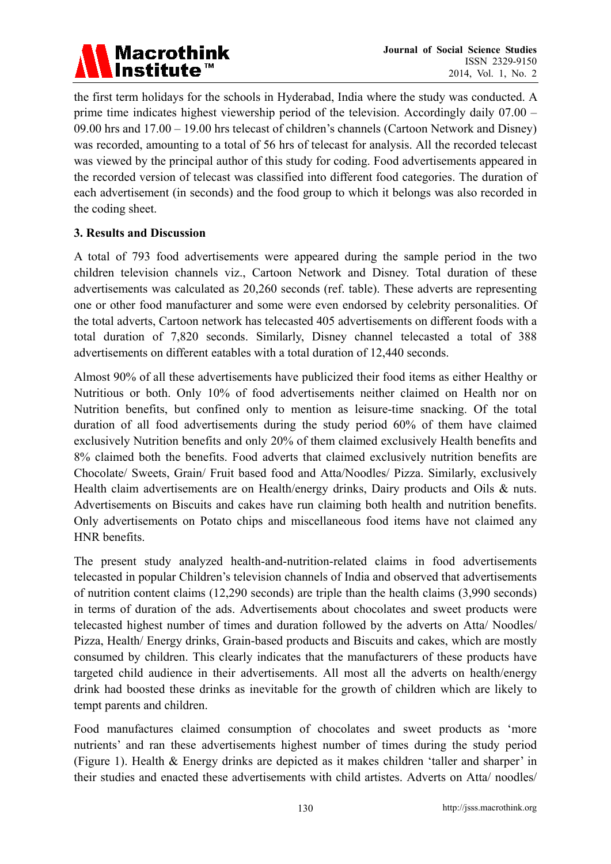

the first term holidays for the schools in Hyderabad, India where the study was conducted. A prime time indicates highest viewership period of the television. Accordingly daily 07.00 – 09.00 hrs and 17.00 – 19.00 hrs telecast of children's channels (Cartoon Network and Disney) was recorded, amounting to a total of 56 hrs of telecast for analysis. All the recorded telecast was viewed by the principal author of this study for coding. Food advertisements appeared in the recorded version of telecast was classified into different food categories. The duration of each advertisement (in seconds) and the food group to which it belongs was also recorded in the coding sheet.

#### **3. Results and Discussion**

A total of 793 food advertisements were appeared during the sample period in the two children television channels viz., Cartoon Network and Disney. Total duration of these advertisements was calculated as 20,260 seconds (ref. table). These adverts are representing one or other food manufacturer and some were even endorsed by celebrity personalities. Of the total adverts, Cartoon network has telecasted 405 advertisements on different foods with a total duration of 7,820 seconds. Similarly, Disney channel telecasted a total of 388 advertisements on different eatables with a total duration of 12,440 seconds.

Almost 90% of all these advertisements have publicized their food items as either Healthy or Nutritious or both. Only 10% of food advertisements neither claimed on Health nor on Nutrition benefits, but confined only to mention as leisure-time snacking. Of the total duration of all food advertisements during the study period 60% of them have claimed exclusively Nutrition benefits and only 20% of them claimed exclusively Health benefits and 8% claimed both the benefits. Food adverts that claimed exclusively nutrition benefits are Chocolate/ Sweets, Grain/ Fruit based food and Atta/Noodles/ Pizza. Similarly, exclusively Health claim advertisements are on Health/energy drinks, Dairy products and Oils & nuts. Advertisements on Biscuits and cakes have run claiming both health and nutrition benefits. Only advertisements on Potato chips and miscellaneous food items have not claimed any HNR benefits.

The present study analyzed health-and-nutrition-related claims in food advertisements telecasted in popular Children's television channels of India and observed that advertisements of nutrition content claims (12,290 seconds) are triple than the health claims (3,990 seconds) in terms of duration of the ads. Advertisements about chocolates and sweet products were telecasted highest number of times and duration followed by the adverts on Atta/ Noodles/ Pizza, Health/ Energy drinks, Grain-based products and Biscuits and cakes, which are mostly consumed by children. This clearly indicates that the manufacturers of these products have targeted child audience in their advertisements. All most all the adverts on health/energy drink had boosted these drinks as inevitable for the growth of children which are likely to tempt parents and children.

Food manufactures claimed consumption of chocolates and sweet products as 'more nutrients' and ran these advertisements highest number of times during the study period (Figure 1). Health & Energy drinks are depicted as it makes children 'taller and sharper' in their studies and enacted these advertisements with child artistes. Adverts on Atta/ noodles/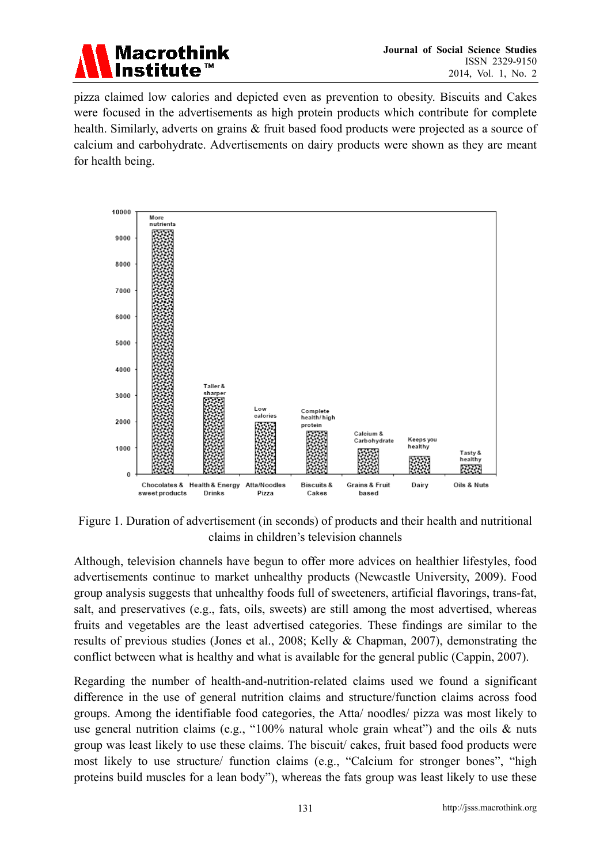

pizza claimed low calories and depicted even as prevention to obesity. Biscuits and Cakes were focused in the advertisements as high protein products which contribute for complete health. Similarly, adverts on grains & fruit based food products were projected as a source of calcium and carbohydrate. Advertisements on dairy products were shown as they are meant for health being.



Figure 1. Duration of advertisement (in seconds) of products and their health and nutritional claims in children's television channels

Although, television channels have begun to offer more advices on healthier lifestyles, food advertisements continue to market unhealthy products (Newcastle University, 2009). Food group analysis suggests that unhealthy foods full of sweeteners, artificial flavorings, trans-fat, salt, and preservatives (e.g., fats, oils, sweets) are still among the most advertised, whereas fruits and vegetables are the least advertised categories. These findings are similar to the results of previous studies (Jones et al., 2008; Kelly & Chapman, 2007), demonstrating the conflict between what is healthy and what is available for the general public (Cappin, 2007).

Regarding the number of health-and-nutrition-related claims used we found a significant difference in the use of general nutrition claims and structure/function claims across food groups. Among the identifiable food categories, the Atta/ noodles/ pizza was most likely to use general nutrition claims (e.g., "100% natural whole grain wheat") and the oils & nuts group was least likely to use these claims. The biscuit/ cakes, fruit based food products were most likely to use structure/ function claims (e.g., "Calcium for stronger bones", "high proteins build muscles for a lean body"), whereas the fats group was least likely to use these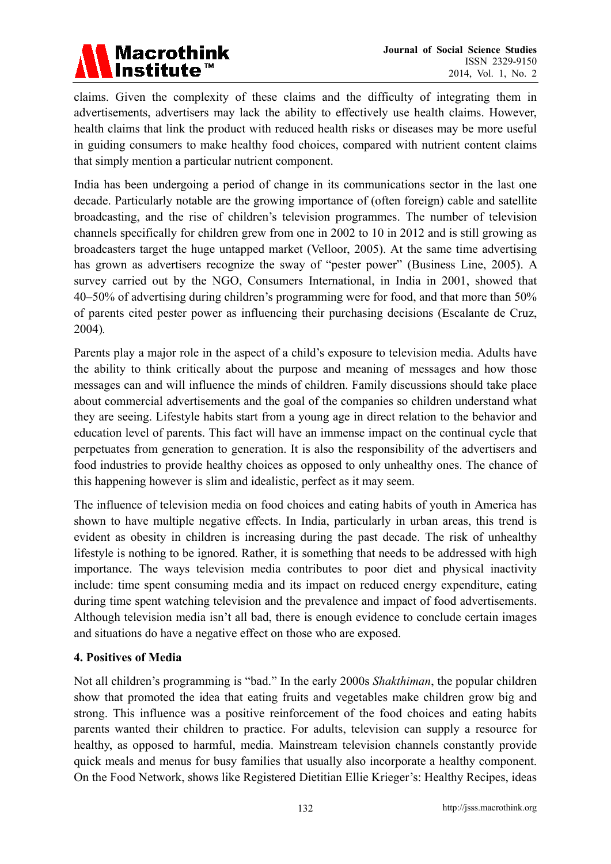

claims. Given the complexity of these claims and the difficulty of integrating them in advertisements, advertisers may lack the ability to effectively use health claims. However, health claims that link the product with reduced health risks or diseases may be more useful in guiding consumers to make healthy food choices, compared with nutrient content claims that simply mention a particular nutrient component.

India has been undergoing a period of change in its communications sector in the last one decade. Particularly notable are the growing importance of (often foreign) cable and satellite broadcasting, and the rise of children's television programmes. The number of television channels specifically for children grew from one in 2002 to 10 in 2012 and is still growing as broadcasters target the huge untapped market (Velloor, 2005). At the same time advertising has grown as advertisers recognize the sway of "pester power" (Business Line, 2005). A survey carried out by the NGO, Consumers International, in India in 2001, showed that 40–50% of advertising during children's programming were for food, and that more than 50% of parents cited pester power as influencing their purchasing decisions (Escalante de Cruz, 2004)*.* 

Parents play a major role in the aspect of a child's exposure to television media. Adults have the ability to think critically about the purpose and meaning of messages and how those messages can and will influence the minds of children. Family discussions should take place about commercial advertisements and the goal of the companies so children understand what they are seeing. Lifestyle habits start from a young age in direct relation to the behavior and education level of parents. This fact will have an immense impact on the continual cycle that perpetuates from generation to generation. It is also the responsibility of the advertisers and food industries to provide healthy choices as opposed to only unhealthy ones. The chance of this happening however is slim and idealistic, perfect as it may seem.

The influence of television media on food choices and eating habits of youth in America has shown to have multiple negative effects. In India, particularly in urban areas, this trend is evident as obesity in children is increasing during the past decade. The risk of unhealthy lifestyle is nothing to be ignored. Rather, it is something that needs to be addressed with high importance. The ways television media contributes to poor diet and physical inactivity include: time spent consuming media and its impact on reduced energy expenditure, eating during time spent watching television and the prevalence and impact of food advertisements. Although television media isn't all bad, there is enough evidence to conclude certain images and situations do have a negative effect on those who are exposed.

#### **4. Positives of Media**

Not all children's programming is "bad." In the early 2000s *Shakthiman*, the popular children show that promoted the idea that eating fruits and vegetables make children grow big and strong. This influence was a positive reinforcement of the food choices and eating habits parents wanted their children to practice. For adults, television can supply a resource for healthy, as opposed to harmful, media. Mainstream television channels constantly provide quick meals and menus for busy families that usually also incorporate a healthy component. On the Food Network, shows like Registered Dietitian Ellie Krieger's: Healthy Recipes, ideas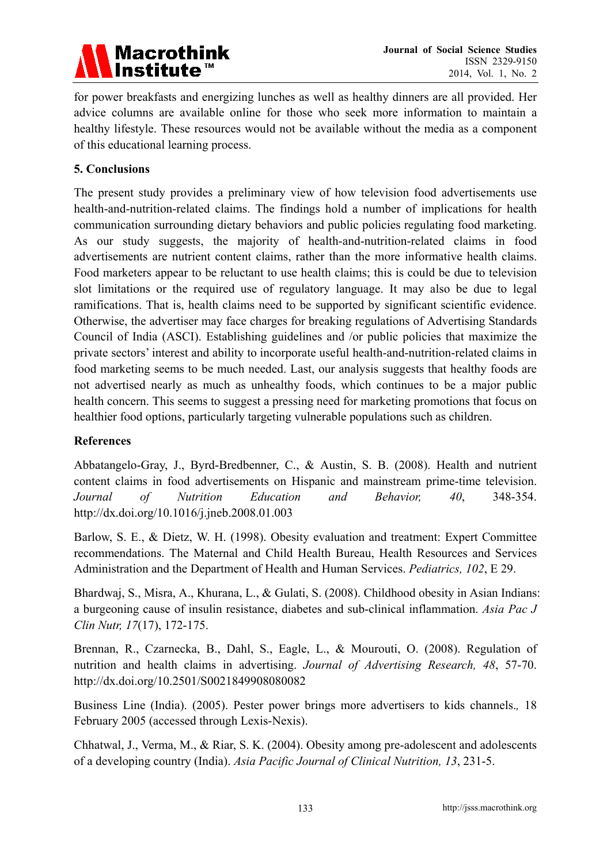

for power breakfasts and energizing lunches as well as healthy dinners are all provided. Her advice columns are available online for those who seek more information to maintain a healthy lifestyle. These resources would not be available without the media as a component of this educational learning process.

# **5. Conclusions**

The present study provides a preliminary view of how television food advertisements use health-and-nutrition-related claims. The findings hold a number of implications for health communication surrounding dietary behaviors and public policies regulating food marketing. As our study suggests, the majority of health-and-nutrition-related claims in food advertisements are nutrient content claims, rather than the more informative health claims. Food marketers appear to be reluctant to use health claims; this is could be due to television slot limitations or the required use of regulatory language. It may also be due to legal ramifications. That is, health claims need to be supported by significant scientific evidence. Otherwise, the advertiser may face charges for breaking regulations of Advertising Standards Council of India (ASCI). Establishing guidelines and /or public policies that maximize the private sectors' interest and ability to incorporate useful health-and-nutrition-related claims in food marketing seems to be much needed. Last, our analysis suggests that healthy foods are not advertised nearly as much as unhealthy foods, which continues to be a major public health concern. This seems to suggest a pressing need for marketing promotions that focus on healthier food options, particularly targeting vulnerable populations such as children.

#### **References**

Abbatangelo-Gray, J., Byrd-Bredbenner, C., & Austin, S. B. (2008). Health and nutrient content claims in food advertisements on Hispanic and mainstream prime-time television. *Journal of Nutrition Education and Behavior, 40*, 348-354. http://dx.doi.org/10.1016/j.jneb.2008.01.003

Barlow, S. E., & Dietz, W. H. (1998). Obesity evaluation and treatment: Expert Committee recommendations. The Maternal and Child Health Bureau, Health Resources and Services Administration and the Department of Health and Human Services. *Pediatrics, 102*, E 29.

Bhardwaj, S., Misra, A., Khurana, L., & Gulati, S. (2008). Childhood obesity in Asian Indians: a burgeoning cause of insulin resistance, diabetes and sub-clinical inflammation. *Asia Pac J Clin Nutr, 17*(17), 172-175.

Brennan, R., Czarnecka, B., Dahl, S., Eagle, L., & Mourouti, O. (2008). Regulation of nutrition and health claims in advertising. *Journal of Advertising Research, 48*, 57-70. http://dx.doi.org/10.2501/S0021849908080082

Business Line (India). (2005). Pester power brings more advertisers to kids channels.*,* 18 February 2005 (accessed through Lexis-Nexis).

Chhatwal, J., Verma, M., & Riar, S. K. (2004). Obesity among pre-adolescent and adolescents of a developing country (India). *Asia Pacific Journal of Clinical Nutrition, 13*, 231-5.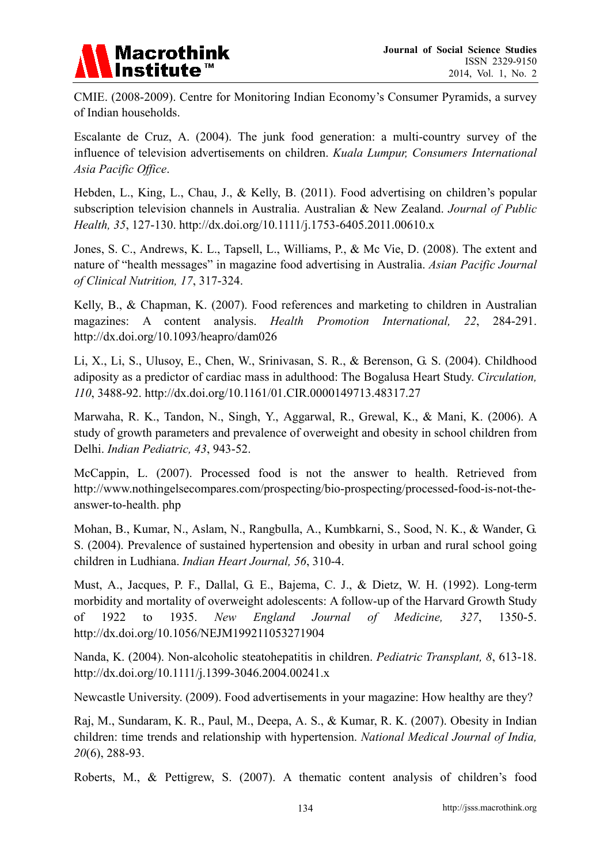

CMIE. (2008-2009). Centre for Monitoring Indian Economy's Consumer Pyramids, a survey of Indian households.

Escalante de Cruz, A. (2004). The junk food generation: a multi-country survey of the influence of television advertisements on children. *Kuala Lumpur, Consumers International Asia Pacific Office*.

Hebden, L., King, L., Chau, J., & Kelly, B. (2011). Food advertising on children's popular subscription television channels in Australia. Australian & New Zealand. *Journal of Public Health, 35*, 127-130. http://dx.doi.org/10.1111/j.1753-6405.2011.00610.x

Jones, S. C., Andrews, K. L., Tapsell, L., Williams, P., & Mc Vie, D. (2008). The extent and nature of "health messages" in magazine food advertising in Australia. *Asian Pacific Journal of Clinical Nutrition, 17*, 317-324.

Kelly, B., & Chapman, K. (2007). Food references and marketing to children in Australian magazines: A content analysis. *Health Promotion International, 22*, 284-291. http://dx.doi.org/10.1093/heapro/dam026

Li, X., Li, S., Ulusoy, E., Chen, W., Srinivasan, S. R., & Berenson, G. S. (2004). Childhood adiposity as a predictor of cardiac mass in adulthood: The Bogalusa Heart Study. *Circulation, 110*, 3488-92. http://dx.doi.org/10.1161/01.CIR.0000149713.48317.27

Marwaha, R. K., Tandon, N., Singh, Y., Aggarwal, R., Grewal, K., & Mani, K. (2006). A study of growth parameters and prevalence of overweight and obesity in school children from Delhi. *Indian Pediatric, 43*, 943-52.

McCappin, L. (2007). Processed food is not the answer to health. Retrieved from http://www.nothingelsecompares.com/prospecting/bio-prospecting/processed-food-is-not-theanswer-to-health. php

Mohan, B., Kumar, N., Aslam, N., Rangbulla, A., Kumbkarni, S., Sood, N. K., & Wander, G. S. (2004). Prevalence of sustained hypertension and obesity in urban and rural school going children in Ludhiana. *Indian Heart Journal, 56*, 310-4.

Must, A., Jacques, P. F., Dallal, G. E., Bajema, C. J., & Dietz, W. H. (1992). Long-term morbidity and mortality of overweight adolescents: A follow-up of the Harvard Growth Study of 1922 to 1935. *New England Journal of Medicine, 327*, 1350-5. http://dx.doi.org/10.1056/NEJM199211053271904

Nanda, K. (2004). Non-alcoholic steatohepatitis in children. *Pediatric Transplant, 8*, 613-18. http://dx.doi.org/10.1111/j.1399-3046.2004.00241.x

Newcastle University. (2009). Food advertisements in your magazine: How healthy are they?

Raj, M., Sundaram, K. R., Paul, M., Deepa, A. S., & Kumar, R. K. (2007). Obesity in Indian children: time trends and relationship with hypertension. *National Medical Journal of India, 20*(6), 288-93.

Roberts, M., & Pettigrew, S. (2007). A thematic content analysis of children's food